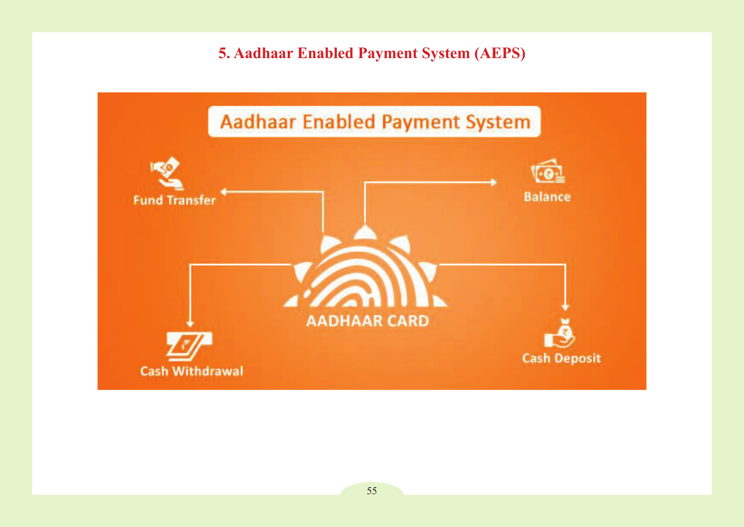# **5. Aadhaar Enabled Payment System (AEPS)**

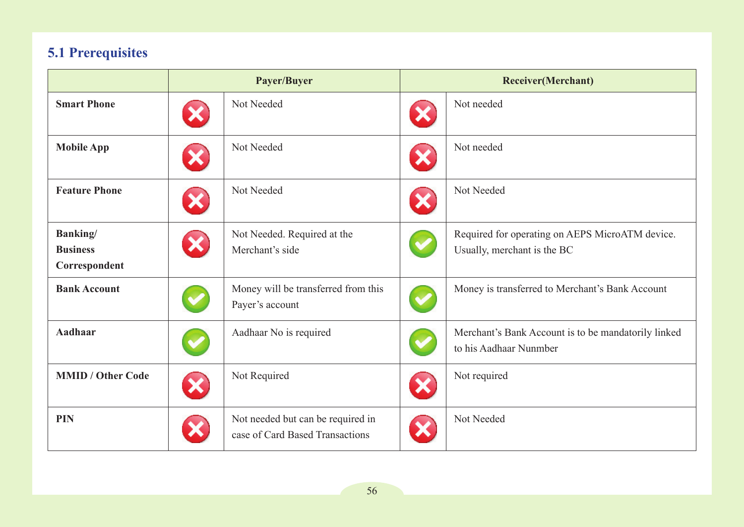# **5.1 Prerequisites**

|                          | Payer/Buyer |                                                                      | <b>Receiver(Merchant)</b> |                                                                               |
|--------------------------|-------------|----------------------------------------------------------------------|---------------------------|-------------------------------------------------------------------------------|
| <b>Smart Phone</b>       |             | Not Needed                                                           |                           | Not needed                                                                    |
| <b>Mobile App</b>        |             | Not Needed                                                           |                           | Not needed                                                                    |
| <b>Feature Phone</b>     |             | Not Needed                                                           |                           | Not Needed                                                                    |
| <b>Banking</b> /         |             | Not Needed. Required at the                                          |                           | Required for operating on AEPS MicroATM device.                               |
| <b>Business</b>          |             | Merchant's side                                                      |                           | Usually, merchant is the BC                                                   |
| Correspondent            |             |                                                                      |                           |                                                                               |
| <b>Bank Account</b>      |             | Money will be transferred from this<br>Payer's account               |                           | Money is transferred to Merchant's Bank Account                               |
| <b>Aadhaar</b>           |             | Aadhaar No is required                                               |                           | Merchant's Bank Account is to be mandatorily linked<br>to his Aadhaar Nunmber |
| <b>MMID / Other Code</b> |             | Not Required                                                         |                           | Not required                                                                  |
| <b>PIN</b>               |             | Not needed but can be required in<br>case of Card Based Transactions |                           | Not Needed                                                                    |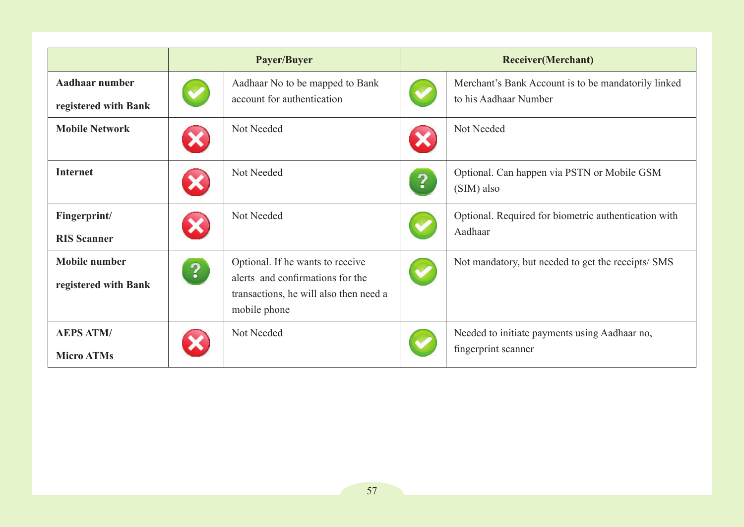|                                              | Payer/Buyer             |                                                                                                                                | <b>Receiver</b> (Merchant) |                                                                              |
|----------------------------------------------|-------------------------|--------------------------------------------------------------------------------------------------------------------------------|----------------------------|------------------------------------------------------------------------------|
| Aadhaar number<br>registered with Bank       |                         | Aadhaar No to be mapped to Bank<br>account for authentication                                                                  |                            | Merchant's Bank Account is to be mandatorily linked<br>to his Aadhaar Number |
| <b>Mobile Network</b>                        |                         | Not Needed                                                                                                                     |                            | Not Needed                                                                   |
| <b>Internet</b>                              |                         | Not Needed                                                                                                                     | ?                          | Optional. Can happen via PSTN or Mobile GSM<br>(SIM) also                    |
| Fingerprint/<br><b>RIS Scanner</b>           |                         | Not Needed                                                                                                                     |                            | Optional. Required for biometric authentication with<br>Aadhaar              |
| <b>Mobile number</b><br>registered with Bank | $\overline{\mathbf{3}}$ | Optional. If he wants to receive<br>alerts and confirmations for the<br>transactions, he will also then need a<br>mobile phone |                            | Not mandatory, but needed to get the receipts/ SMS                           |
| <b>AEPS ATM/</b><br><b>Micro ATMs</b>        |                         | Not Needed                                                                                                                     |                            | Needed to initiate payments using Aadhaar no,<br>fingerprint scanner         |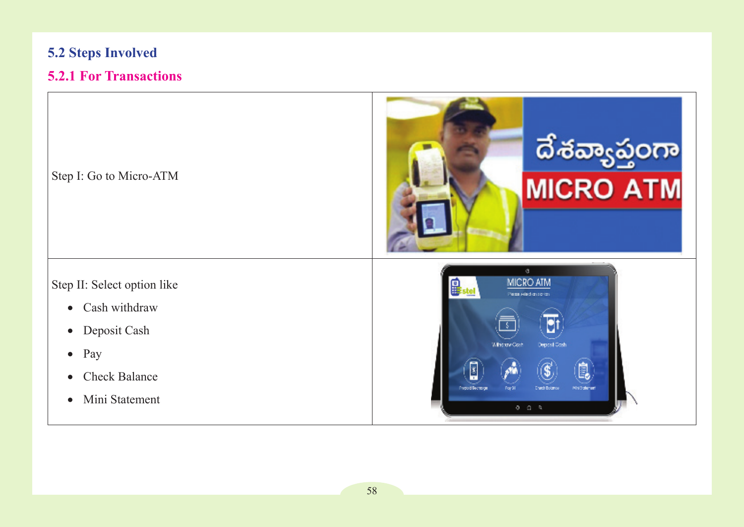# **5.2 Steps Involved**

# **5.2.1 For Transactions**

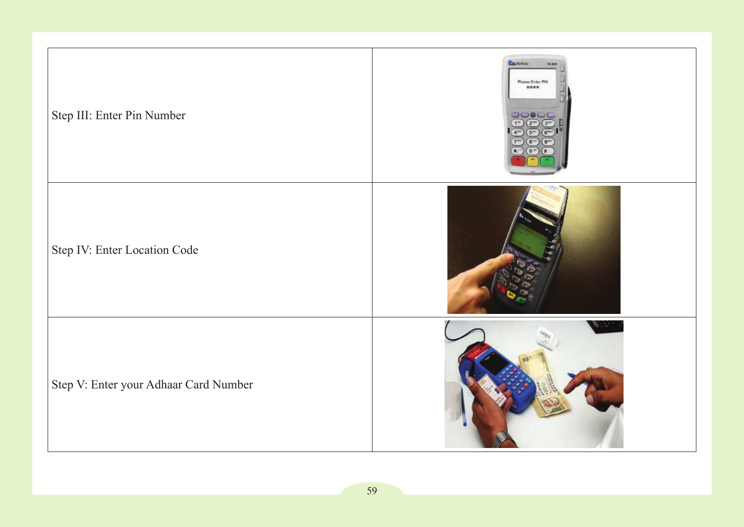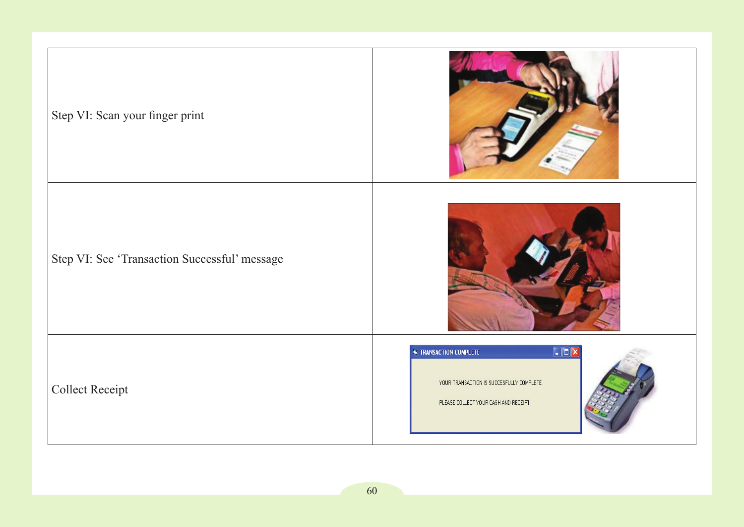| Step VI: Scan your finger print               |                                                                                                                              |  |  |
|-----------------------------------------------|------------------------------------------------------------------------------------------------------------------------------|--|--|
| Step VI: See 'Transaction Successful' message |                                                                                                                              |  |  |
| Collect Receipt                               | $\Box$ DX<br><b>TRANSACTION COMPLETE</b><br>YOUR TRANSACTION IS SUCCESFULLY COMPLETE<br>PLEASE COLLECT YOUR CASH AND RECEIPT |  |  |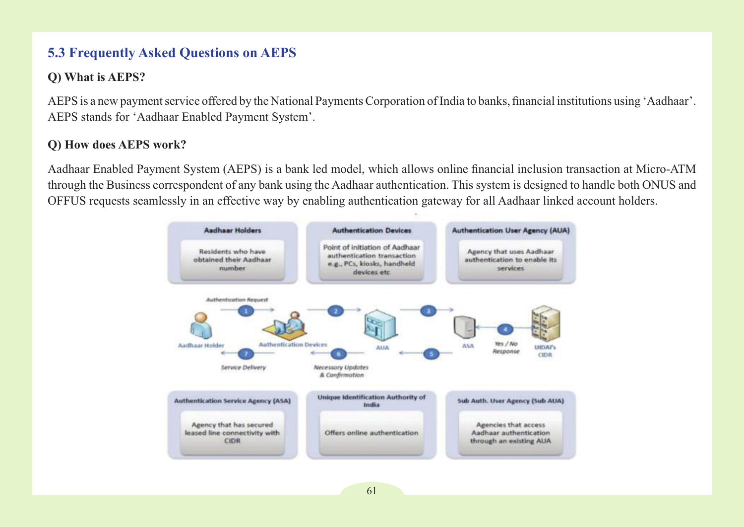# **5.3 Frequently Asked Questions on AEPS**

# **Q) What is AEPS?**

AEPS is a new payment service offered by the National Payments Corporation of India to banks, financial institutions using 'Aadhaar'. AEPS stands for 'Aadhaar Enabled Payment System'.

# **Q) How does AEPS work?**

Aadhaar Enabled Payment System (AEPS) is a bank led model, which allows online financial inclusion transaction at Micro-ATM through the Business correspondent of any bank using the Aadhaar authentication. This system is designed to handle both ONUS and OFFUS requests seamlessly in an effective way by enabling authentication gateway for all Aadhaar linked account holders.

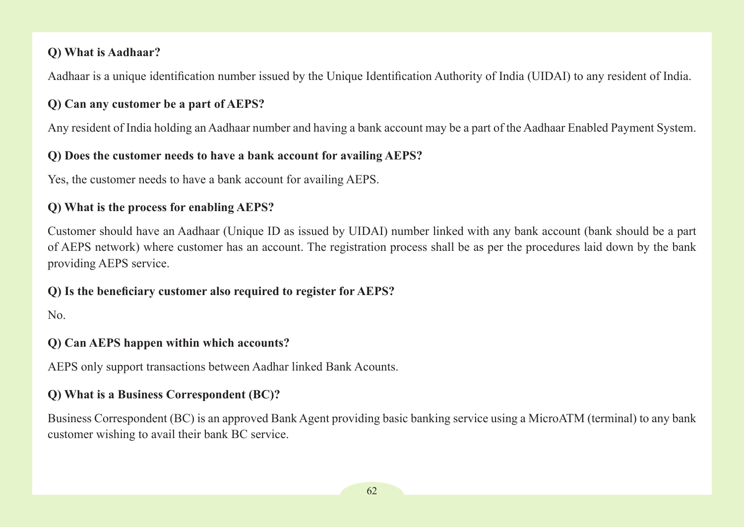## **Q) What is Aadhaar?**

Aadhaar is a unique identification number issued by the Unique Identification Authority of India (UIDAI) to any resident of India.

## **Q) Can any customer be a part of AEPS?**

Any resident of India holding an Aadhaar number and having a bank account may be a part of the Aadhaar Enabled Payment System.

## **Q) Does the customer needs to have a bank account for availing AEPS?**

Yes, the customer needs to have a bank account for availing AEPS.

## **Q) What is the process for enabling AEPS?**

Customer should have an Aadhaar (Unique ID as issued by UIDAI) number linked with any bank account (bank should be a part of AEPS network) where customer has an account. The registration process shall be as per the procedures laid down by the bank providing AEPS service.

### **Q) Is the beneficiary customer also required to register for AEPS?**

No.

# **Q) Can AEPS happen within which accounts?**

AEPS only support transactions between Aadhar linked Bank Acounts.

### **Q) What is a Business Correspondent (BC)?**

Business Correspondent (BC) is an approved Bank Agent providing basic banking service using a MicroATM (terminal) to any bank customer wishing to avail their bank BC service.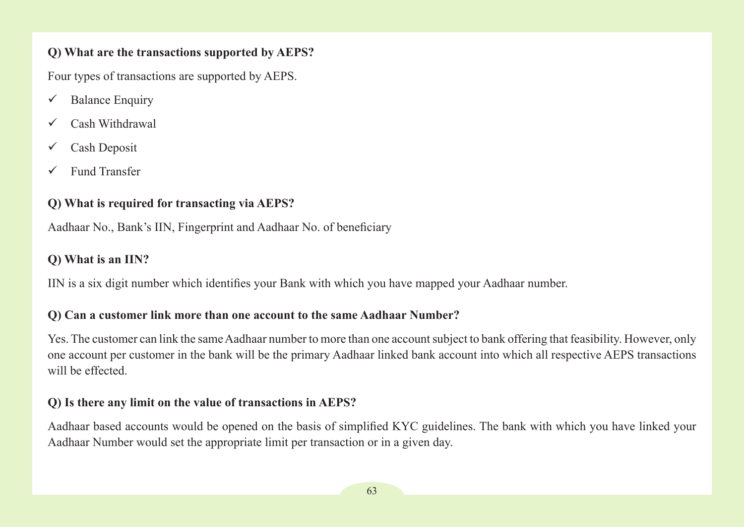# **Q) What are the transactions supported by AEPS?**

Four types of transactions are supported by AEPS.

- $\checkmark$  Balance Enquiry
- Cash Withdrawal
- $\checkmark$  Cash Deposit
- Fund Transfer

# **Q) What is required for transacting via AEPS?**

Aadhaar No., Bank's IIN, Fingerprint and Aadhaar No. of beneficiary

# **Q) What is an IIN?**

IIN is a six digit number which identifies your Bank with which you have mapped your Aadhaar number.

# **Q) Can a customer link more than one account to the same Aadhaar Number?**

Yes. The customer can link the same Aadhaar number to more than one account subject to bank offering that feasibility. However, only one account per customer in the bank will be the primary Aadhaar linked bank account into which all respective AEPS transactions will be effected.

### **Q) Is there any limit on the value of transactions in AEPS?**

Aadhaar based accounts would be opened on the basis of simplified KYC guidelines. The bank with which you have linked your Aadhaar Number would set the appropriate limit per transaction or in a given day.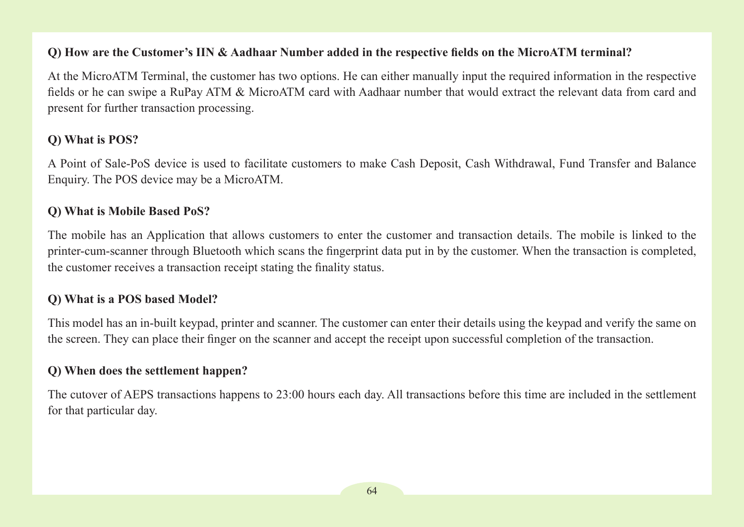### **Q) How are the Customer's IIN & Aadhaar Number added in the respective fields on the MicroATM terminal?**

At the MicroATM Terminal, the customer has two options. He can either manually input the required information in the respective fields or he can swipe a RuPay ATM & MicroATM card with Aadhaar number that would extract the relevant data from card and present for further transaction processing.

# **Q) What is POS?**

A Point of Sale-PoS device is used to facilitate customers to make Cash Deposit, Cash Withdrawal, Fund Transfer and Balance Enquiry. The POS device may be a MicroATM.

#### **Q) What is Mobile Based PoS?**

The mobile has an Application that allows customers to enter the customer and transaction details. The mobile is linked to the printer-cum-scanner through Bluetooth which scans the fingerprint data put in by the customer. When the transaction is completed, the customer receives a transaction receipt stating the finality status.

### **Q) What is a POS based Model?**

This model has an in-built keypad, printer and scanner. The customer can enter their details using the keypad and verify the same on the screen. They can place their finger on the scanner and accept the receipt upon successful completion of the transaction.

### **Q) When does the settlement happen?**

The cutover of AEPS transactions happens to 23:00 hours each day. All transactions before this time are included in the settlement for that particular day.